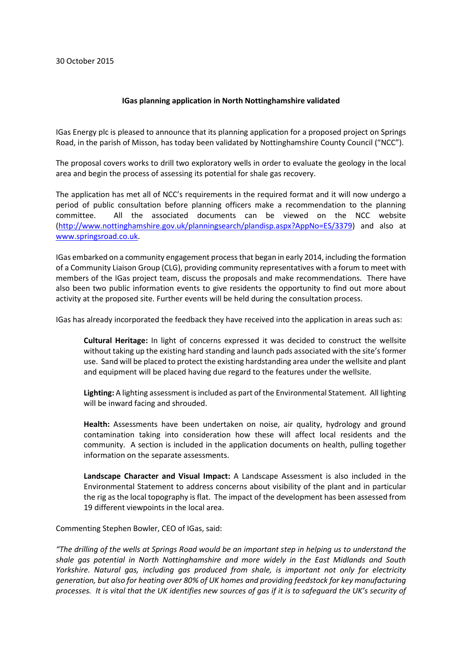## **IGas planning application in North Nottinghamshire validated**

IGas Energy plc is pleased to announce that its planning application for a proposed project on Springs Road, in the parish of Misson, has today been validated by Nottinghamshire County Council ("NCC").

The proposal covers works to drill two exploratory wells in order to evaluate the geology in the local area and begin the process of assessing its potential for shale gas recovery.

The application has met all of NCC's requirements in the required format and it will now undergo a period of public consultation before planning officers make a recommendation to the planning committee. All the associated documents can be viewed on the NCC website [\(http://www.nottinghamshire.gov.uk/planningsearch/plandisp.aspx?AppNo=ES/3379\)](http://www.nottinghamshire.gov.uk/planningsearch/plandisp.aspx?AppNo=ES/3379) and also at [www.springsroad.co.uk.](http://www.springsroad.co.uk/)

IGas embarked on a community engagement process that began in early 2014, including the formation of a Community Liaison Group (CLG), providing community representatives with a forum to meet with members of the IGas project team, discuss the proposals and make recommendations. There have also been two public information events to give residents the opportunity to find out more about activity at the proposed site. Further events will be held during the consultation process.

IGas has already incorporated the feedback they have received into the application in areas such as:

**Cultural Heritage:** In light of concerns expressed it was decided to construct the wellsite without taking up the existing hard standing and launch pads associated with the site's former use. Sand will be placed to protect the existing hardstanding area under the wellsite and plant and equipment will be placed having due regard to the features under the wellsite.

**Lighting:** A lighting assessment is included as part of the Environmental Statement. All lighting will be inward facing and shrouded.

**Health:** Assessments have been undertaken on noise, air quality, hydrology and ground contamination taking into consideration how these will affect local residents and the community. A section is included in the application documents on health, pulling together information on the separate assessments.

**Landscape Character and Visual Impact:** A Landscape Assessment is also included in the Environmental Statement to address concerns about visibility of the plant and in particular the rig as the local topography is flat. The impact of the development has been assessed from 19 different viewpoints in the local area.

Commenting Stephen Bowler, CEO of IGas, said:

*"The drilling of the wells at Springs Road would be an important step in helping us to understand the shale gas potential in North Nottinghamshire and more widely in the East Midlands and South Yorkshire. Natural gas, including gas produced from shale, is important not only for electricity generation, but also for heating over 80% of UK homes and providing feedstock for key manufacturing processes. It is vital that the UK identifies new sources of gas if it is to safeguard the UK's security of*